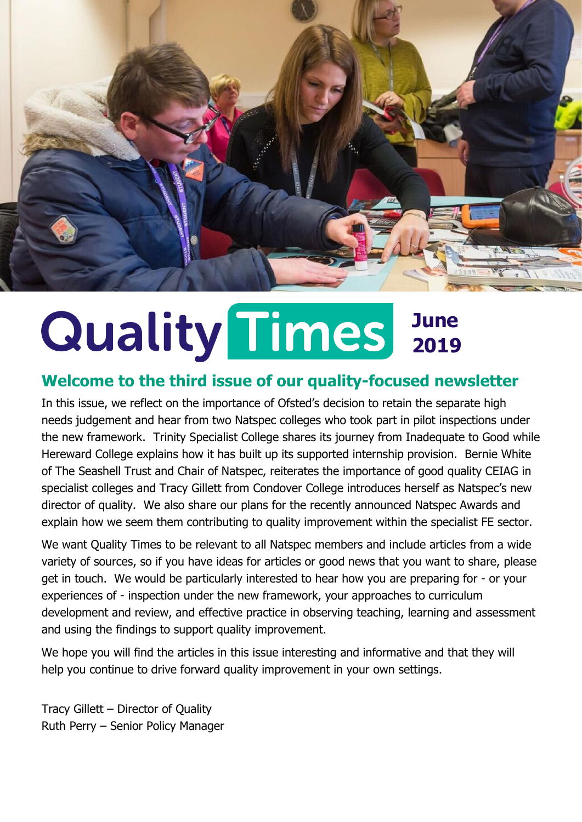

# **June 2019**

#### **Welcome to the third issue of our quality-focused newsletter**

In this issue, we reflect on the importance of Ofsted's decision to retain the separate high needs judgement and hear from two Natspec colleges who took part in pilot inspections under the new framework. Trinity Specialist College shares its journey from Inadequate to Good while Hereward College explains how it has built up its supported internship provision. Bernie White of The Seashell Trust and Chair of Natspec, reiterates the importance of good quality CEIAG in specialist colleges and Tracy Gillett from Condover College introduces herself as Natspec's new director of quality. We also share our plans for the recently announced Natspec Awards and explain how we seem them contributing to quality improvement within the specialist FE sector.

We want Quality Times to be relevant to all Natspec members and include articles from a wide variety of sources, so if you have ideas for articles or good news that you want to share, please get in touch. We would be particularly interested to hear how you are preparing for - or your experiences of - inspection under the new framework, your approaches to curriculum development and review, and effective practice in observing teaching, learning and assessment and using the findings to support quality improvement.

We hope you will find the articles in this issue interesting and informative and that they will help you continue to drive forward quality improvement in your own settings.

Tracy Gillett – Director of Quality Ruth Perry – Senior Policy Manager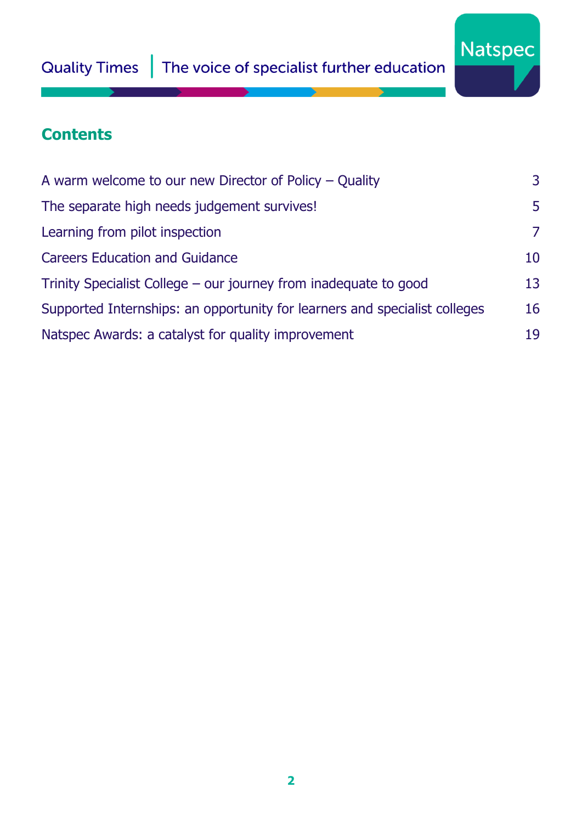

### **Contents**

| A warm welcome to our new Director of Policy $-$ Quality                   | 3  |
|----------------------------------------------------------------------------|----|
| The separate high needs judgement survives!                                | 5  |
| Learning from pilot inspection                                             | 7  |
| <b>Careers Education and Guidance</b>                                      | 10 |
| Trinity Specialist College – our journey from inadequate to good           | 13 |
| Supported Internships: an opportunity for learners and specialist colleges | 16 |
| Natspec Awards: a catalyst for quality improvement                         | 19 |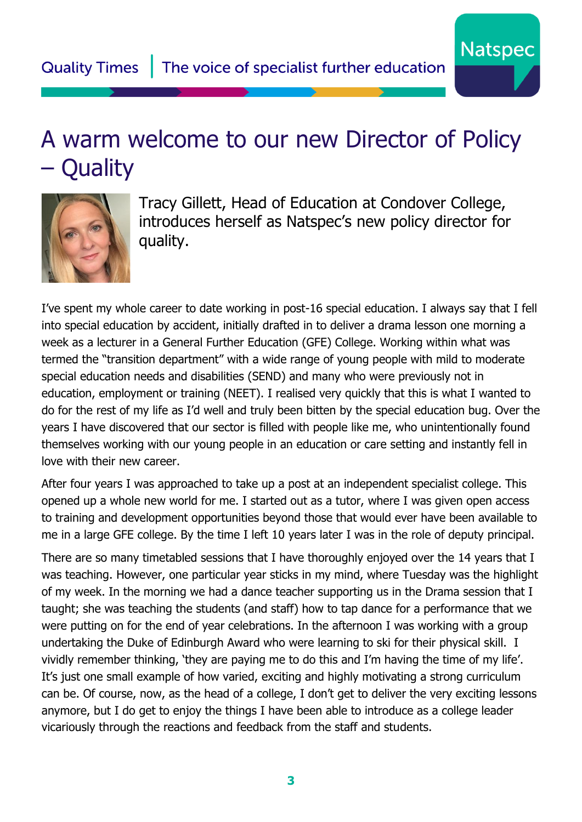## <span id="page-2-0"></span>A warm welcome to our new Director of Policy – Quality



Tracy Gillett, Head of Education at Condover College, introduces herself as Natspec's new policy director for quality.

**Natspec** 

I've spent my whole career to date working in post-16 special education. I always say that I fell into special education by accident, initially drafted in to deliver a drama lesson one morning a week as a lecturer in a General Further Education (GFE) College. Working within what was termed the "transition department" with a wide range of young people with mild to moderate special education needs and disabilities (SEND) and many who were previously not in education, employment or training (NEET). I realised very quickly that this is what I wanted to do for the rest of my life as I'd well and truly been bitten by the special education bug. Over the years I have discovered that our sector is filled with people like me, who unintentionally found themselves working with our young people in an education or care setting and instantly fell in love with their new career.

After four years I was approached to take up a post at an independent specialist college. This opened up a whole new world for me. I started out as a tutor, where I was given open access to training and development opportunities beyond those that would ever have been available to me in a large GFE college. By the time I left 10 years later I was in the role of deputy principal.

There are so many timetabled sessions that I have thoroughly enjoyed over the 14 years that I was teaching. However, one particular year sticks in my mind, where Tuesday was the highlight of my week. In the morning we had a dance teacher supporting us in the Drama session that I taught; she was teaching the students (and staff) how to tap dance for a performance that we were putting on for the end of year celebrations. In the afternoon I was working with a group undertaking the Duke of Edinburgh Award who were learning to ski for their physical skill. I vividly remember thinking, 'they are paying me to do this and I'm having the time of my life'. It's just one small example of how varied, exciting and highly motivating a strong curriculum can be. Of course, now, as the head of a college, I don't get to deliver the very exciting lessons anymore, but I do get to enjoy the things I have been able to introduce as a college leader vicariously through the reactions and feedback from the staff and students.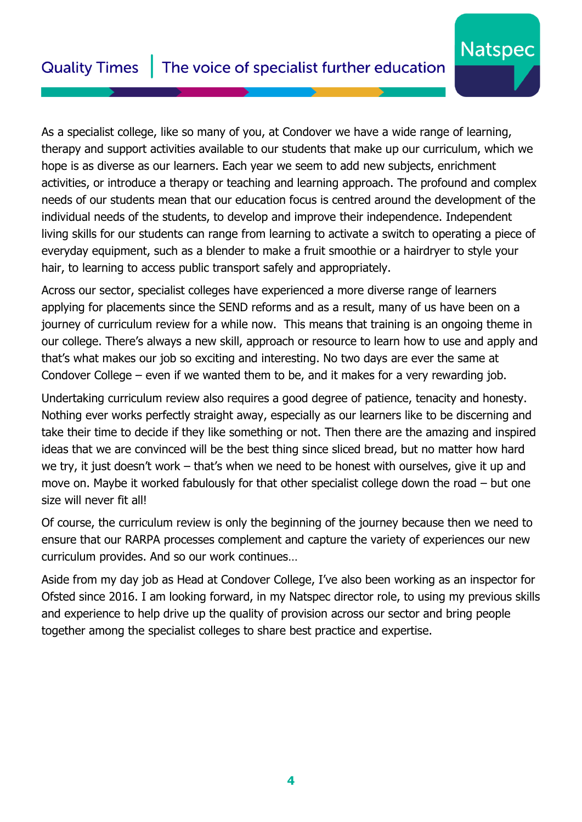#### The voice of specialist further education **Quality Times**

As a specialist college, like so many of you, at Condover we have a wide range of learning, therapy and support activities available to our students that make up our curriculum, which we hope is as diverse as our learners. Each year we seem to add new subjects, enrichment activities, or introduce a therapy or teaching and learning approach. The profound and complex needs of our students mean that our education focus is centred around the development of the individual needs of the students, to develop and improve their independence. Independent living skills for our students can range from learning to activate a switch to operating a piece of everyday equipment, such as a blender to make a fruit smoothie or a hairdryer to style your hair, to learning to access public transport safely and appropriately.

**Natspec** 

Across our sector, specialist colleges have experienced a more diverse range of learners applying for placements since the SEND reforms and as a result, many of us have been on a journey of curriculum review for a while now. This means that training is an ongoing theme in our college. There's always a new skill, approach or resource to learn how to use and apply and that's what makes our job so exciting and interesting. No two days are ever the same at Condover College – even if we wanted them to be, and it makes for a very rewarding job.

Undertaking curriculum review also requires a good degree of patience, tenacity and honesty. Nothing ever works perfectly straight away, especially as our learners like to be discerning and take their time to decide if they like something or not. Then there are the amazing and inspired ideas that we are convinced will be the best thing since sliced bread, but no matter how hard we try, it just doesn't work – that's when we need to be honest with ourselves, give it up and move on. Maybe it worked fabulously for that other specialist college down the road – but one size will never fit all!

Of course, the curriculum review is only the beginning of the journey because then we need to ensure that our RARPA processes complement and capture the variety of experiences our new curriculum provides. And so our work continues…

Aside from my day job as Head at Condover College, I've also been working as an inspector for Ofsted since 2016. I am looking forward, in my Natspec director role, to using my previous skills and experience to help drive up the quality of provision across our sector and bring people together among the specialist colleges to share best practice and expertise.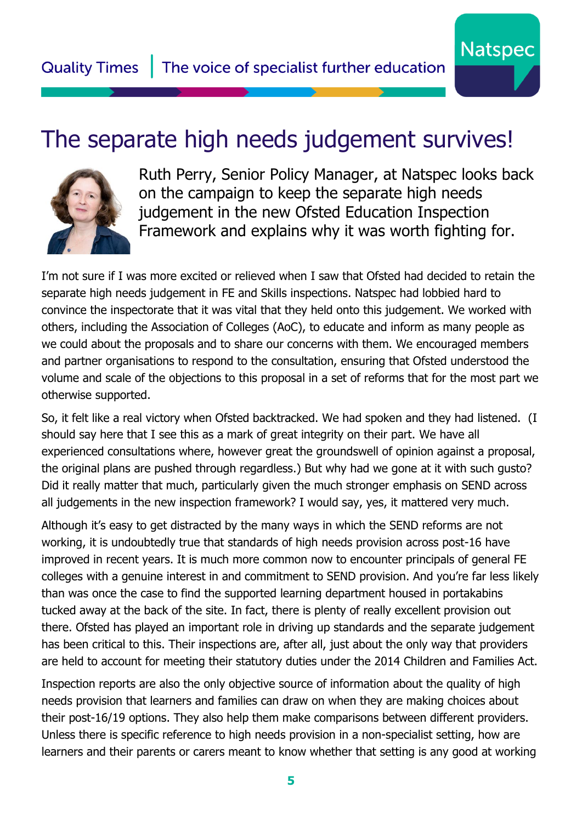### <span id="page-4-0"></span>The separate high needs judgement survives!



Ruth Perry, Senior Policy Manager, at Natspec looks back on the campaign to keep the separate high needs judgement in the new Ofsted Education Inspection Framework and explains why it was worth fighting for.

**Natspec** 

I'm not sure if I was more excited or relieved when I saw that Ofsted had decided to retain the separate high needs judgement in FE and Skills inspections. Natspec had lobbied hard to convince the inspectorate that it was vital that they held onto this judgement. We worked with others, including the Association of Colleges (AoC), to educate and inform as many people as we could about the proposals and to share our concerns with them. We encouraged members and partner organisations to respond to the consultation, ensuring that Ofsted understood the volume and scale of the objections to this proposal in a set of reforms that for the most part we otherwise supported.

So, it felt like a real victory when Ofsted backtracked. We had spoken and they had listened. (I should say here that I see this as a mark of great integrity on their part. We have all experienced consultations where, however great the groundswell of opinion against a proposal, the original plans are pushed through regardless.) But why had we gone at it with such gusto? Did it really matter that much, particularly given the much stronger emphasis on SEND across all judgements in the new inspection framework? I would say, yes, it mattered very much.

Although it's easy to get distracted by the many ways in which the SEND reforms are not working, it is undoubtedly true that standards of high needs provision across post-16 have improved in recent years. It is much more common now to encounter principals of general FE colleges with a genuine interest in and commitment to SEND provision. And you're far less likely than was once the case to find the supported learning department housed in portakabins tucked away at the back of the site. In fact, there is plenty of really excellent provision out there. Ofsted has played an important role in driving up standards and the separate judgement has been critical to this. Their inspections are, after all, just about the only way that providers are held to account for meeting their statutory duties under the 2014 Children and Families Act.

Inspection reports are also the only objective source of information about the quality of high needs provision that learners and families can draw on when they are making choices about their post-16/19 options. They also help them make comparisons between different providers. Unless there is specific reference to high needs provision in a non-specialist setting, how are learners and their parents or carers meant to know whether that setting is any good at working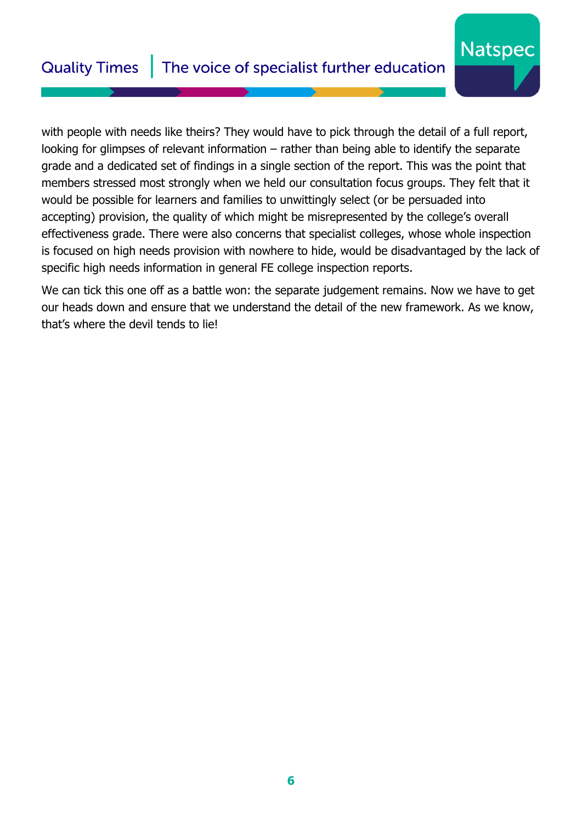#### The voice of specialist further education **Quality Times**

with people with needs like theirs? They would have to pick through the detail of a full report, looking for glimpses of relevant information – rather than being able to identify the separate grade and a dedicated set of findings in a single section of the report. This was the point that members stressed most strongly when we held our consultation focus groups. They felt that it would be possible for learners and families to unwittingly select (or be persuaded into accepting) provision, the quality of which might be misrepresented by the college's overall effectiveness grade. There were also concerns that specialist colleges, whose whole inspection is focused on high needs provision with nowhere to hide, would be disadvantaged by the lack of specific high needs information in general FE college inspection reports.

**Natspec** 

We can tick this one off as a battle won: the separate judgement remains. Now we have to get our heads down and ensure that we understand the detail of the new framework. As we know, that's where the devil tends to lie!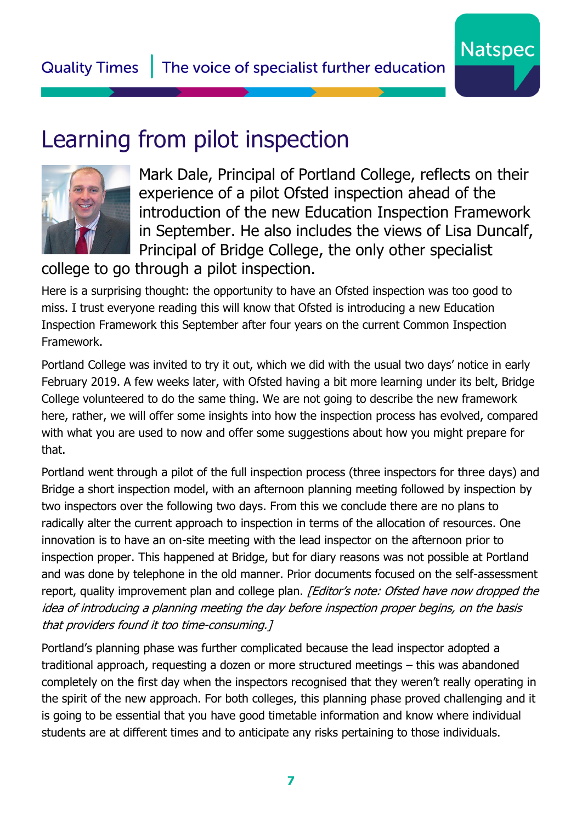<span id="page-6-0"></span>



Mark Dale, Principal of Portland College, reflects on their experience of a pilot Ofsted inspection ahead of the introduction of the new Education Inspection Framework in September. He also includes the views of Lisa Duncalf, Principal of Bridge College, the only other specialist

**Natspec** 

college to go through a pilot inspection.

Here is a surprising thought: the opportunity to have an Ofsted inspection was too good to miss. I trust everyone reading this will know that Ofsted is introducing a new Education Inspection Framework this September after four years on the current Common Inspection Framework.

Portland College was invited to try it out, which we did with the usual two days' notice in early February 2019. A few weeks later, with Ofsted having a bit more learning under its belt, Bridge College volunteered to do the same thing. We are not going to describe the new framework here, rather, we will offer some insights into how the inspection process has evolved, compared with what you are used to now and offer some suggestions about how you might prepare for that.

Portland went through a pilot of the full inspection process (three inspectors for three days) and Bridge a short inspection model, with an afternoon planning meeting followed by inspection by two inspectors over the following two days. From this we conclude there are no plans to radically alter the current approach to inspection in terms of the allocation of resources. One innovation is to have an on-site meeting with the lead inspector on the afternoon prior to inspection proper. This happened at Bridge, but for diary reasons was not possible at Portland and was done by telephone in the old manner. Prior documents focused on the self-assessment report, quality improvement plan and college plan. [Editor's note: Ofsted have now dropped the idea of introducing a planning meeting the day before inspection proper begins, on the basis that providers found it too time-consuming.]

Portland's planning phase was further complicated because the lead inspector adopted a traditional approach, requesting a dozen or more structured meetings – this was abandoned completely on the first day when the inspectors recognised that they weren't really operating in the spirit of the new approach. For both colleges, this planning phase proved challenging and it is going to be essential that you have good timetable information and know where individual students are at different times and to anticipate any risks pertaining to those individuals.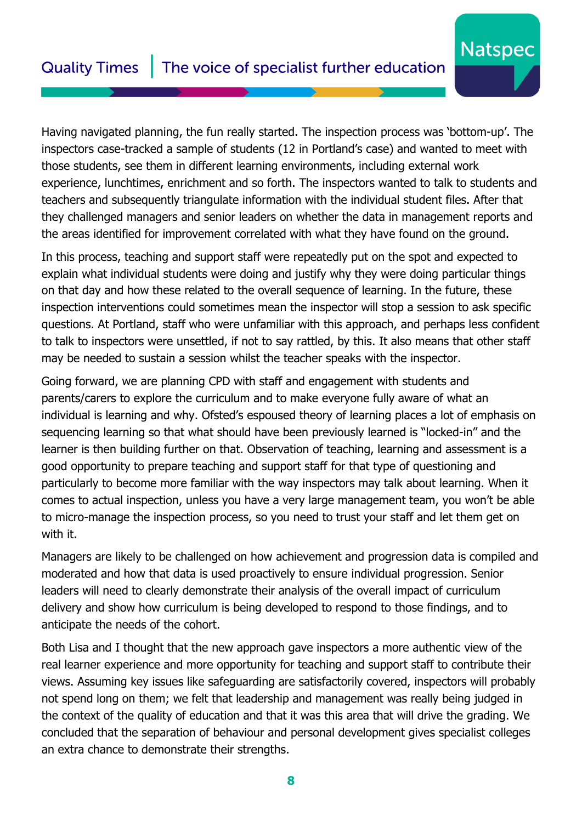Having navigated planning, the fun really started. The inspection process was 'bottom-up'. The inspectors case-tracked a sample of students (12 in Portland's case) and wanted to meet with those students, see them in different learning environments, including external work experience, lunchtimes, enrichment and so forth. The inspectors wanted to talk to students and teachers and subsequently triangulate information with the individual student files. After that they challenged managers and senior leaders on whether the data in management reports and the areas identified for improvement correlated with what they have found on the ground.

**Natspec** 

In this process, teaching and support staff were repeatedly put on the spot and expected to explain what individual students were doing and justify why they were doing particular things on that day and how these related to the overall sequence of learning. In the future, these inspection interventions could sometimes mean the inspector will stop a session to ask specific questions. At Portland, staff who were unfamiliar with this approach, and perhaps less confident to talk to inspectors were unsettled, if not to say rattled, by this. It also means that other staff may be needed to sustain a session whilst the teacher speaks with the inspector.

Going forward, we are planning CPD with staff and engagement with students and parents/carers to explore the curriculum and to make everyone fully aware of what an individual is learning and why. Ofsted's espoused theory of learning places a lot of emphasis on sequencing learning so that what should have been previously learned is "locked-in" and the learner is then building further on that. Observation of teaching, learning and assessment is a good opportunity to prepare teaching and support staff for that type of questioning and particularly to become more familiar with the way inspectors may talk about learning. When it comes to actual inspection, unless you have a very large management team, you won't be able to micro-manage the inspection process, so you need to trust your staff and let them get on with it.

Managers are likely to be challenged on how achievement and progression data is compiled and moderated and how that data is used proactively to ensure individual progression. Senior leaders will need to clearly demonstrate their analysis of the overall impact of curriculum delivery and show how curriculum is being developed to respond to those findings, and to anticipate the needs of the cohort.

Both Lisa and I thought that the new approach gave inspectors a more authentic view of the real learner experience and more opportunity for teaching and support staff to contribute their views. Assuming key issues like safeguarding are satisfactorily covered, inspectors will probably not spend long on them; we felt that leadership and management was really being judged in the context of the quality of education and that it was this area that will drive the grading. We concluded that the separation of behaviour and personal development gives specialist colleges an extra chance to demonstrate their strengths.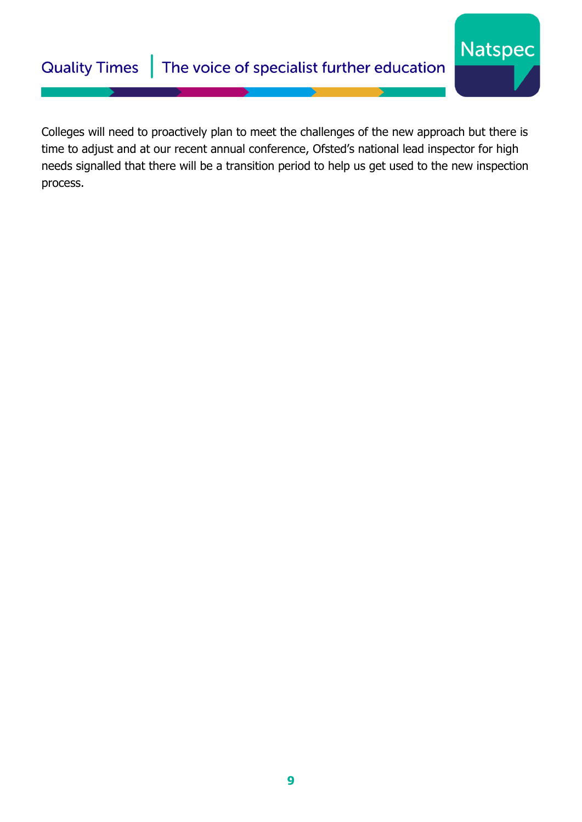#### The voice of specialist further education **Quality Times**

Colleges will need to proactively plan to meet the challenges of the new approach but there is time to adjust and at our recent annual conference, Ofsted's national lead inspector for high needs signalled that there will be a transition period to help us get used to the new inspection process.

**Natspec**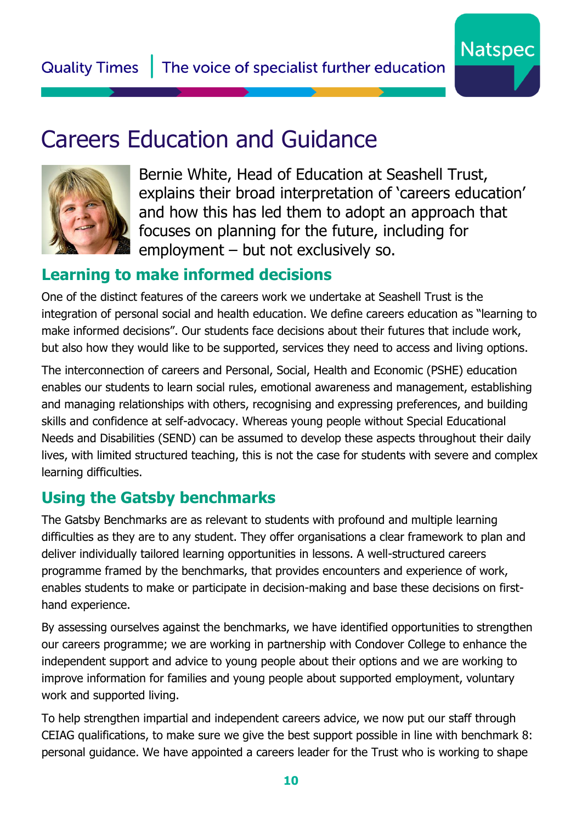

# <span id="page-9-0"></span>Careers Education and Guidance



Bernie White, Head of Education at Seashell Trust, explains their broad interpretation of 'careers education' and how this has led them to adopt an approach that focuses on planning for the future, including for employment – but not exclusively so.

### **Learning to make informed decisions**

One of the distinct features of the careers work we undertake at Seashell Trust is the integration of personal social and health education. We define careers education as "learning to make informed decisions". Our students face decisions about their futures that include work, but also how they would like to be supported, services they need to access and living options.

The interconnection of careers and Personal, Social, Health and Economic (PSHE) education enables our students to learn social rules, emotional awareness and management, establishing and managing relationships with others, recognising and expressing preferences, and building skills and confidence at self-advocacy. Whereas young people without Special Educational Needs and Disabilities (SEND) can be assumed to develop these aspects throughout their daily lives, with limited structured teaching, this is not the case for students with severe and complex learning difficulties.

### **Using the Gatsby benchmarks**

The Gatsby Benchmarks are as relevant to students with profound and multiple learning difficulties as they are to any student. They offer organisations a clear framework to plan and deliver individually tailored learning opportunities in lessons. A well-structured careers programme framed by the benchmarks, that provides encounters and experience of work, enables students to make or participate in decision-making and base these decisions on firsthand experience.

By assessing ourselves against the benchmarks, we have identified opportunities to strengthen our careers programme; we are working in partnership with Condover College to enhance the independent support and advice to young people about their options and we are working to improve information for families and young people about supported employment, voluntary work and supported living.

To help strengthen impartial and independent careers advice, we now put our staff through CEIAG qualifications, to make sure we give the best support possible in line with benchmark 8: personal guidance. We have appointed a careers leader for the Trust who is working to shape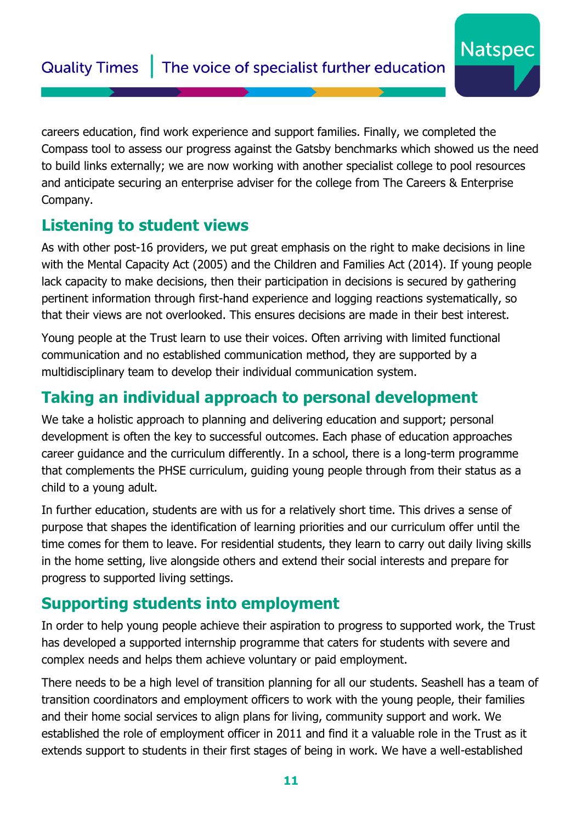careers education, find work experience and support families. Finally, we completed the Compass tool to assess our progress against the Gatsby benchmarks which showed us the need to build links externally; we are now working with another specialist college to pool resources and anticipate securing an enterprise adviser for the college from The Careers & Enterprise Company.

**Natspec** 

#### **Listening to student views**

As with other post-16 providers, we put great emphasis on the right to make decisions in line with the Mental Capacity Act (2005) and the Children and Families Act (2014). If young people lack capacity to make decisions, then their participation in decisions is secured by gathering pertinent information through first-hand experience and logging reactions systematically, so that their views are not overlooked. This ensures decisions are made in their best interest.

Young people at the Trust learn to use their voices. Often arriving with limited functional communication and no established communication method, they are supported by a multidisciplinary team to develop their individual communication system.

#### **Taking an individual approach to personal development**

We take a holistic approach to planning and delivering education and support; personal development is often the key to successful outcomes. Each phase of education approaches career guidance and the curriculum differently. In a school, there is a long-term programme that complements the PHSE curriculum, guiding young people through from their status as a child to a young adult.

In further education, students are with us for a relatively short time. This drives a sense of purpose that shapes the identification of learning priorities and our curriculum offer until the time comes for them to leave. For residential students, they learn to carry out daily living skills in the home setting, live alongside others and extend their social interests and prepare for progress to supported living settings.

#### **Supporting students into employment**

In order to help young people achieve their aspiration to progress to supported work, the Trust has developed a supported internship programme that caters for students with severe and complex needs and helps them achieve voluntary or paid employment.

There needs to be a high level of transition planning for all our students. Seashell has a team of transition coordinators and employment officers to work with the young people, their families and their home social services to align plans for living, community support and work. We established the role of employment officer in 2011 and find it a valuable role in the Trust as it extends support to students in their first stages of being in work. We have a well-established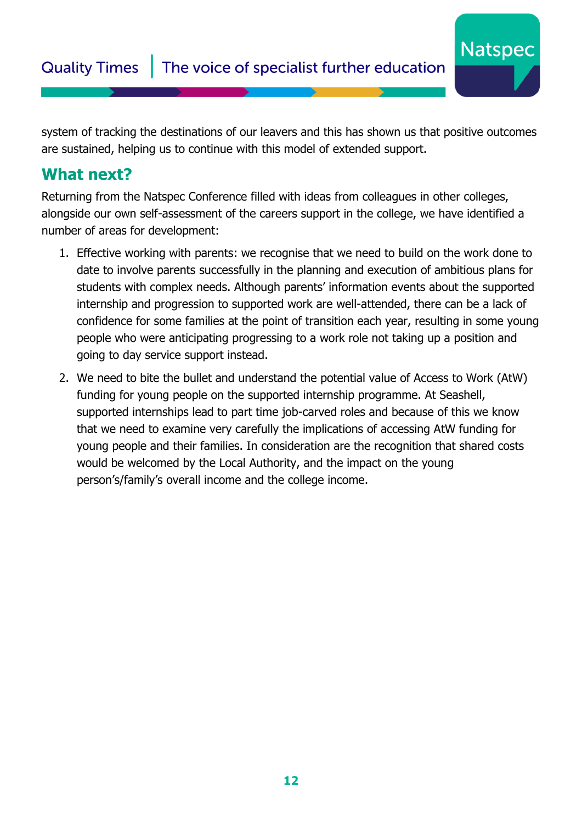system of tracking the destinations of our leavers and this has shown us that positive outcomes are sustained, helping us to continue with this model of extended support.

**Natspec** 

#### **What next?**

Returning from the Natspec Conference filled with ideas from colleagues in other colleges, alongside our own self-assessment of the careers support in the college, we have identified a number of areas for development:

- 1. Effective working with parents: we recognise that we need to build on the work done to date to involve parents successfully in the planning and execution of ambitious plans for students with complex needs. Although parents' information events about the supported internship and progression to supported work are well-attended, there can be a lack of confidence for some families at the point of transition each year, resulting in some young people who were anticipating progressing to a work role not taking up a position and going to day service support instead.
- 2. We need to bite the bullet and understand the potential value of Access to Work (AtW) funding for young people on the supported internship programme. At Seashell, supported internships lead to part time job-carved roles and because of this we know that we need to examine very carefully the implications of accessing AtW funding for young people and their families. In consideration are the recognition that shared costs would be welcomed by the Local Authority, and the impact on the young person's/family's overall income and the college income.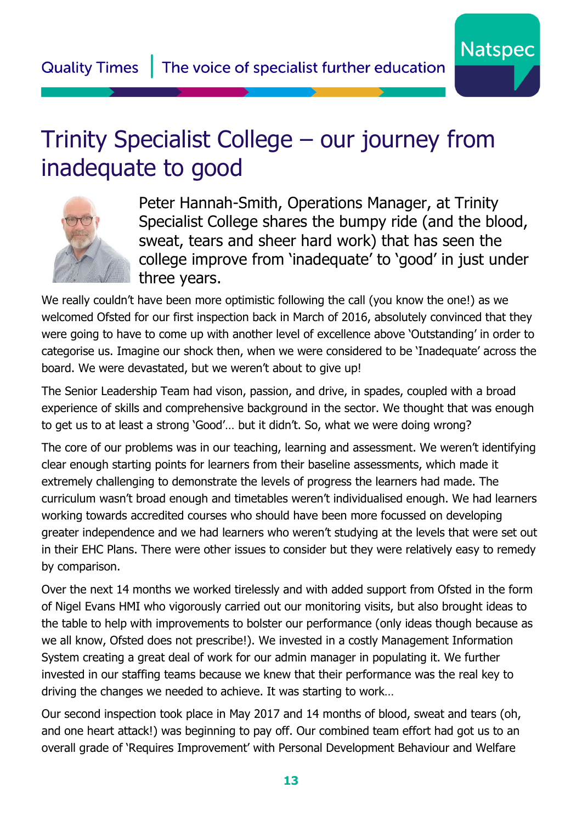# <span id="page-12-0"></span>Trinity Specialist College – our journey from inadequate to good



Peter Hannah-Smith, Operations Manager, at Trinity Specialist College shares the bumpy ride (and the blood, sweat, tears and sheer hard work) that has seen the college improve from 'inadequate' to 'good' in just under three years.

**Natspec** 

We really couldn't have been more optimistic following the call (you know the one!) as we welcomed Ofsted for our first inspection back in March of 2016, absolutely convinced that they were going to have to come up with another level of excellence above 'Outstanding' in order to categorise us. Imagine our shock then, when we were considered to be 'Inadequate' across the board. We were devastated, but we weren't about to give up!

The Senior Leadership Team had vison, passion, and drive, in spades, coupled with a broad experience of skills and comprehensive background in the sector. We thought that was enough to get us to at least a strong 'Good'… but it didn't. So, what we were doing wrong?

The core of our problems was in our teaching, learning and assessment. We weren't identifying clear enough starting points for learners from their baseline assessments, which made it extremely challenging to demonstrate the levels of progress the learners had made. The curriculum wasn't broad enough and timetables weren't individualised enough. We had learners working towards accredited courses who should have been more focussed on developing greater independence and we had learners who weren't studying at the levels that were set out in their EHC Plans. There were other issues to consider but they were relatively easy to remedy by comparison.

Over the next 14 months we worked tirelessly and with added support from Ofsted in the form of Nigel Evans HMI who vigorously carried out our monitoring visits, but also brought ideas to the table to help with improvements to bolster our performance (only ideas though because as we all know, Ofsted does not prescribe!). We invested in a costly Management Information System creating a great deal of work for our admin manager in populating it. We further invested in our staffing teams because we knew that their performance was the real key to driving the changes we needed to achieve. It was starting to work…

Our second inspection took place in May 2017 and 14 months of blood, sweat and tears (oh, and one heart attack!) was beginning to pay off. Our combined team effort had got us to an overall grade of 'Requires Improvement' with Personal Development Behaviour and Welfare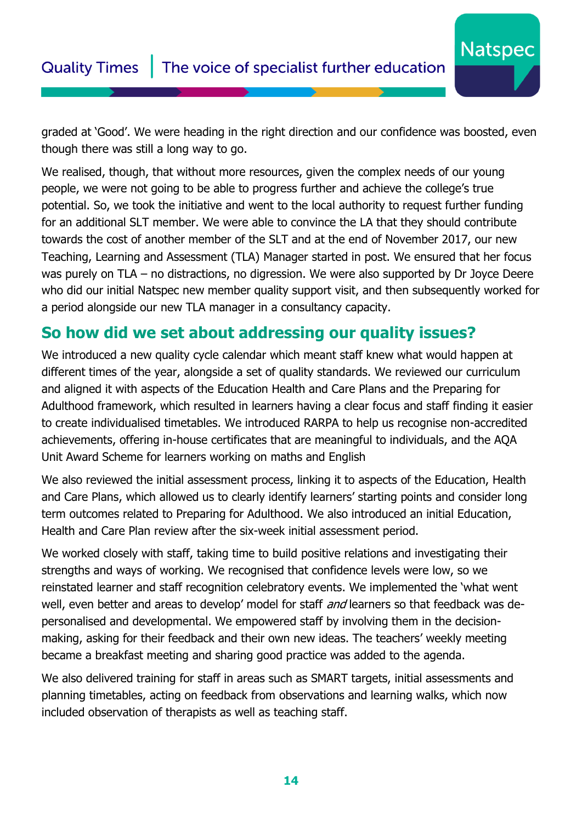### Quality Times The voice of specialist further education

graded at 'Good'. We were heading in the right direction and our confidence was boosted, even though there was still a long way to go.

**Natspec** 

We realised, though, that without more resources, given the complex needs of our young people, we were not going to be able to progress further and achieve the college's true potential. So, we took the initiative and went to the local authority to request further funding for an additional SLT member. We were able to convince the LA that they should contribute towards the cost of another member of the SLT and at the end of November 2017, our new Teaching, Learning and Assessment (TLA) Manager started in post. We ensured that her focus was purely on TLA – no distractions, no digression. We were also supported by Dr Joyce Deere who did our initial Natspec new member quality support visit, and then subsequently worked for a period alongside our new TLA manager in a consultancy capacity.

#### **So how did we set about addressing our quality issues?**

We introduced a new quality cycle calendar which meant staff knew what would happen at different times of the year, alongside a set of quality standards. We reviewed our curriculum and aligned it with aspects of the Education Health and Care Plans and the Preparing for Adulthood framework, which resulted in learners having a clear focus and staff finding it easier to create individualised timetables. We introduced RARPA to help us recognise non-accredited achievements, offering in-house certificates that are meaningful to individuals, and the AQA Unit Award Scheme for learners working on maths and English

We also reviewed the initial assessment process, linking it to aspects of the Education, Health and Care Plans, which allowed us to clearly identify learners' starting points and consider long term outcomes related to Preparing for Adulthood. We also introduced an initial Education, Health and Care Plan review after the six-week initial assessment period.

We worked closely with staff, taking time to build positive relations and investigating their strengths and ways of working. We recognised that confidence levels were low, so we reinstated learner and staff recognition celebratory events. We implemented the 'what went well, even better and areas to develop' model for staff *and* learners so that feedback was depersonalised and developmental. We empowered staff by involving them in the decisionmaking, asking for their feedback and their own new ideas. The teachers' weekly meeting became a breakfast meeting and sharing good practice was added to the agenda.

We also delivered training for staff in areas such as SMART targets, initial assessments and planning timetables, acting on feedback from observations and learning walks, which now included observation of therapists as well as teaching staff.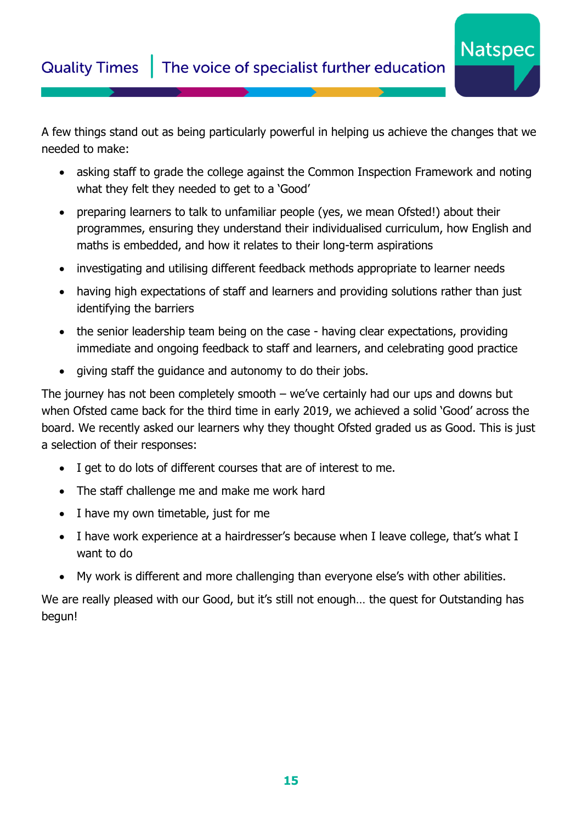A few things stand out as being particularly powerful in helping us achieve the changes that we needed to make:

**Natspec** 

- asking staff to grade the college against the Common Inspection Framework and noting what they felt they needed to get to a 'Good'
- preparing learners to talk to unfamiliar people (yes, we mean Ofsted!) about their programmes, ensuring they understand their individualised curriculum, how English and maths is embedded, and how it relates to their long-term aspirations
- investigating and utilising different feedback methods appropriate to learner needs
- having high expectations of staff and learners and providing solutions rather than just identifying the barriers
- the senior leadership team being on the case having clear expectations, providing immediate and ongoing feedback to staff and learners, and celebrating good practice
- giving staff the guidance and autonomy to do their jobs.

The journey has not been completely smooth – we've certainly had our ups and downs but when Ofsted came back for the third time in early 2019, we achieved a solid 'Good' across the board. We recently asked our learners why they thought Ofsted graded us as Good. This is just a selection of their responses:

- I get to do lots of different courses that are of interest to me.
- The staff challenge me and make me work hard
- I have my own timetable, just for me
- I have work experience at a hairdresser's because when I leave college, that's what I want to do
- My work is different and more challenging than everyone else's with other abilities.

We are really pleased with our Good, but it's still not enough... the quest for Outstanding has begun!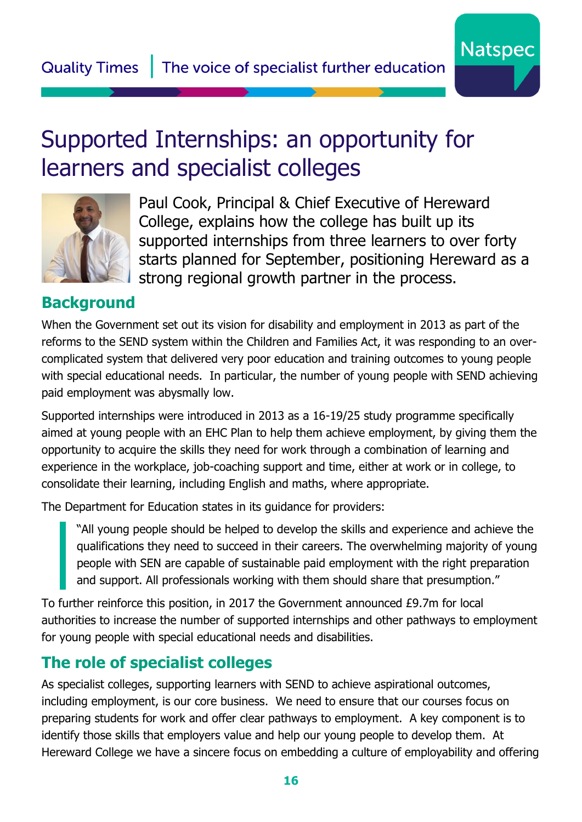## <span id="page-15-0"></span>Supported Internships: an opportunity for learners and specialist colleges



Paul Cook, Principal & Chief Executive of Hereward College, explains how the college has built up its supported internships from three learners to over forty starts planned for September, positioning Hereward as a strong regional growth partner in the process.

#### **Background**

When the Government set out its vision for disability and employment in 2013 as part of the reforms to the SEND system within the Children and Families Act, it was responding to an overcomplicated system that delivered very poor education and training outcomes to young people with special educational needs. In particular, the number of young people with SEND achieving paid employment was abysmally low.

Supported internships were introduced in 2013 as a 16-19/25 study programme specifically aimed at young people with an EHC Plan to help them achieve employment, by giving them the opportunity to acquire the skills they need for work through a combination of learning and experience in the workplace, job-coaching support and time, either at work or in college, to consolidate their learning, including English and maths, where appropriate.

The Department for Education states in its guidance for providers:

"All young people should be helped to develop the skills and experience and achieve the qualifications they need to succeed in their careers. The overwhelming majority of young people with SEN are capable of sustainable paid employment with the right preparation and support. All professionals working with them should share that presumption."

To further reinforce this position, in 2017 the Government announced £9.7m for local authorities to increase the number of supported internships and other pathways to employment for young people with special educational needs and disabilities.

### **The role of specialist colleges**

As specialist colleges, supporting learners with SEND to achieve aspirational outcomes, including employment, is our core business. We need to ensure that our courses focus on preparing students for work and offer clear pathways to employment. A key component is to identify those skills that employers value and help our young people to develop them. At Hereward College we have a sincere focus on embedding a culture of employability and offering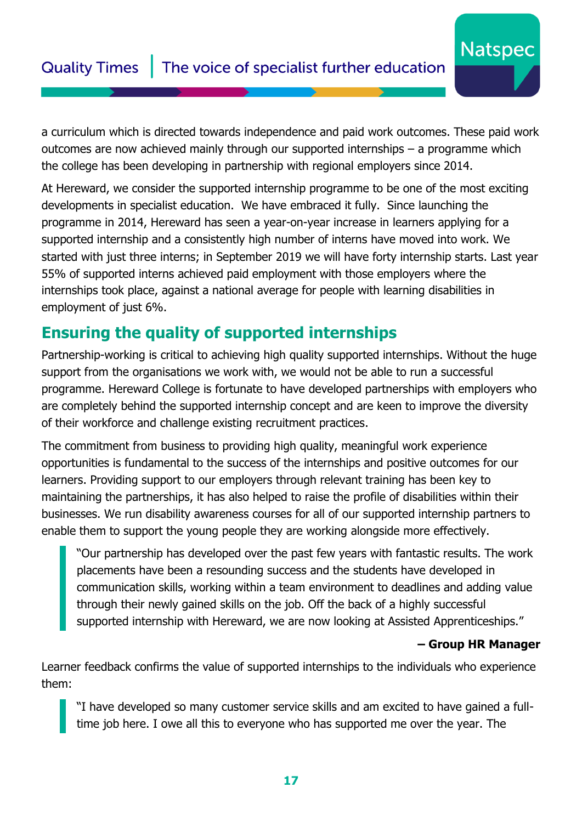#### Quality Times | The voice of specialist further education

a curriculum which is directed towards independence and paid work outcomes. These paid work outcomes are now achieved mainly through our supported internships – a programme which the college has been developing in partnership with regional employers since 2014.

At Hereward, we consider the supported internship programme to be one of the most exciting developments in specialist education. We have embraced it fully. Since launching the programme in 2014, Hereward has seen a year-on-year increase in learners applying for a supported internship and a consistently high number of interns have moved into work. We started with just three interns; in September 2019 we will have forty internship starts. Last year 55% of supported interns achieved paid employment with those employers where the internships took place, against a national average for people with learning disabilities in employment of just 6%.

#### **Ensuring the quality of supported internships**

Partnership-working is critical to achieving high quality supported internships. Without the huge support from the organisations we work with, we would not be able to run a successful programme. Hereward College is fortunate to have developed partnerships with employers who are completely behind the supported internship concept and are keen to improve the diversity of their workforce and challenge existing recruitment practices.

The commitment from business to providing high quality, meaningful work experience opportunities is fundamental to the success of the internships and positive outcomes for our learners. Providing support to our employers through relevant training has been key to maintaining the partnerships, it has also helped to raise the profile of disabilities within their businesses. We run disability awareness courses for all of our supported internship partners to enable them to support the young people they are working alongside more effectively.

"Our partnership has developed over the past few years with fantastic results. The work placements have been a resounding success and the students have developed in communication skills, working within a team environment to deadlines and adding value through their newly gained skills on the job. Off the back of a highly successful supported internship with Hereward, we are now looking at Assisted Apprenticeships."

#### **– Group HR Manager**

**Natspec** 

Learner feedback confirms the value of supported internships to the individuals who experience them:

"I have developed so many customer service skills and am excited to have gained a fulltime job here. I owe all this to everyone who has supported me over the year. The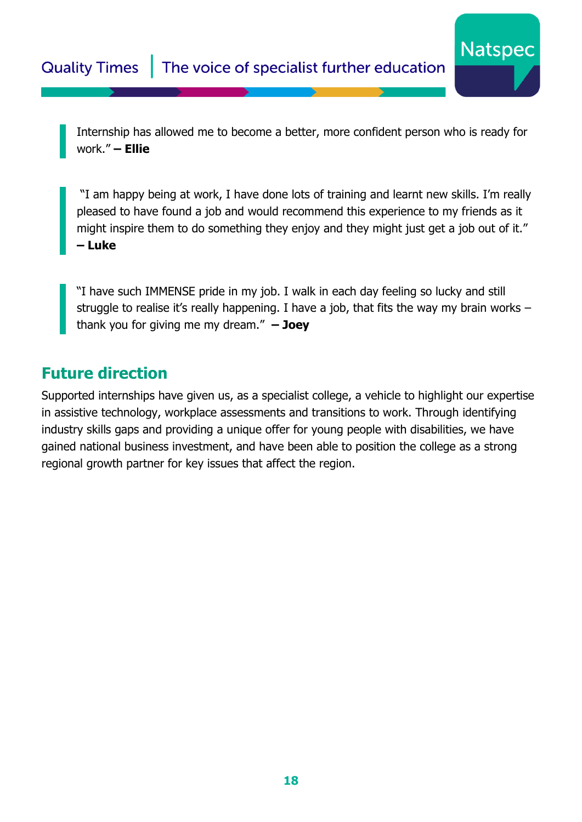Internship has allowed me to become a better, more confident person who is ready for work." **– Ellie**

**Natspec** 

"I am happy being at work, I have done lots of training and learnt new skills. I'm really pleased to have found a job and would recommend this experience to my friends as it might inspire them to do something they enjoy and they might just get a job out of it." **– Luke**

"I have such IMMENSE pride in my job. I walk in each day feeling so lucky and still struggle to realise it's really happening. I have a job, that fits the way my brain works – thank you for giving me my dream." **– Joey**

#### **Future direction**

Supported internships have given us, as a specialist college, a vehicle to highlight our expertise in assistive technology, workplace assessments and transitions to work. Through identifying industry skills gaps and providing a unique offer for young people with disabilities, we have gained national business investment, and have been able to position the college as a strong regional growth partner for key issues that affect the region.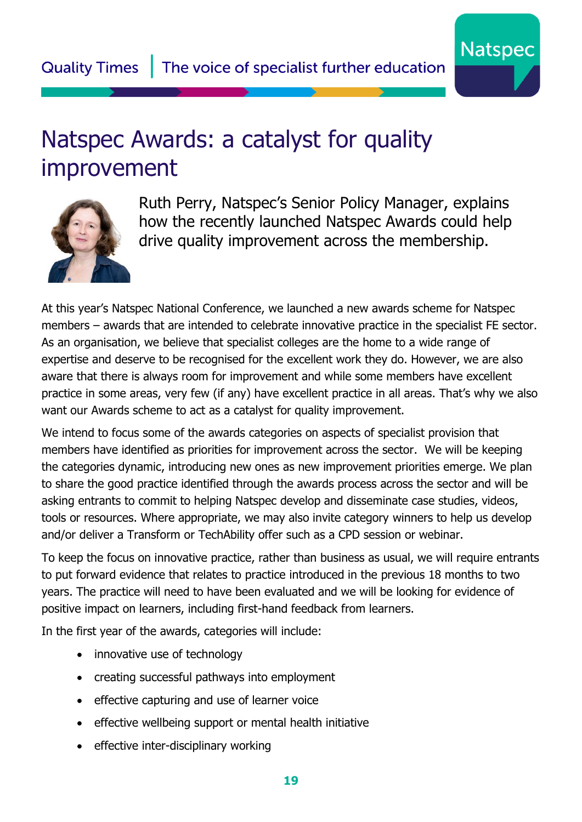

### <span id="page-18-0"></span>Natspec Awards: a catalyst for quality improvement



Ruth Perry, Natspec's Senior Policy Manager, explains how the recently launched Natspec Awards could help drive quality improvement across the membership.

At this year's Natspec National Conference, we launched a new awards scheme for Natspec members – awards that are intended to celebrate innovative practice in the specialist FE sector. As an organisation, we believe that specialist colleges are the home to a wide range of expertise and deserve to be recognised for the excellent work they do. However, we are also aware that there is always room for improvement and while some members have excellent practice in some areas, very few (if any) have excellent practice in all areas. That's why we also want our Awards scheme to act as a catalyst for quality improvement.

We intend to focus some of the awards categories on aspects of specialist provision that members have identified as priorities for improvement across the sector. We will be keeping the categories dynamic, introducing new ones as new improvement priorities emerge. We plan to share the good practice identified through the awards process across the sector and will be asking entrants to commit to helping Natspec develop and disseminate case studies, videos, tools or resources. Where appropriate, we may also invite category winners to help us develop and/or deliver a Transform or TechAbility offer such as a CPD session or webinar.

To keep the focus on innovative practice, rather than business as usual, we will require entrants to put forward evidence that relates to practice introduced in the previous 18 months to two years. The practice will need to have been evaluated and we will be looking for evidence of positive impact on learners, including first-hand feedback from learners.

In the first year of the awards, categories will include:

- innovative use of technology
- creating successful pathways into employment
- effective capturing and use of learner voice
- effective wellbeing support or mental health initiative
- effective inter-disciplinary working